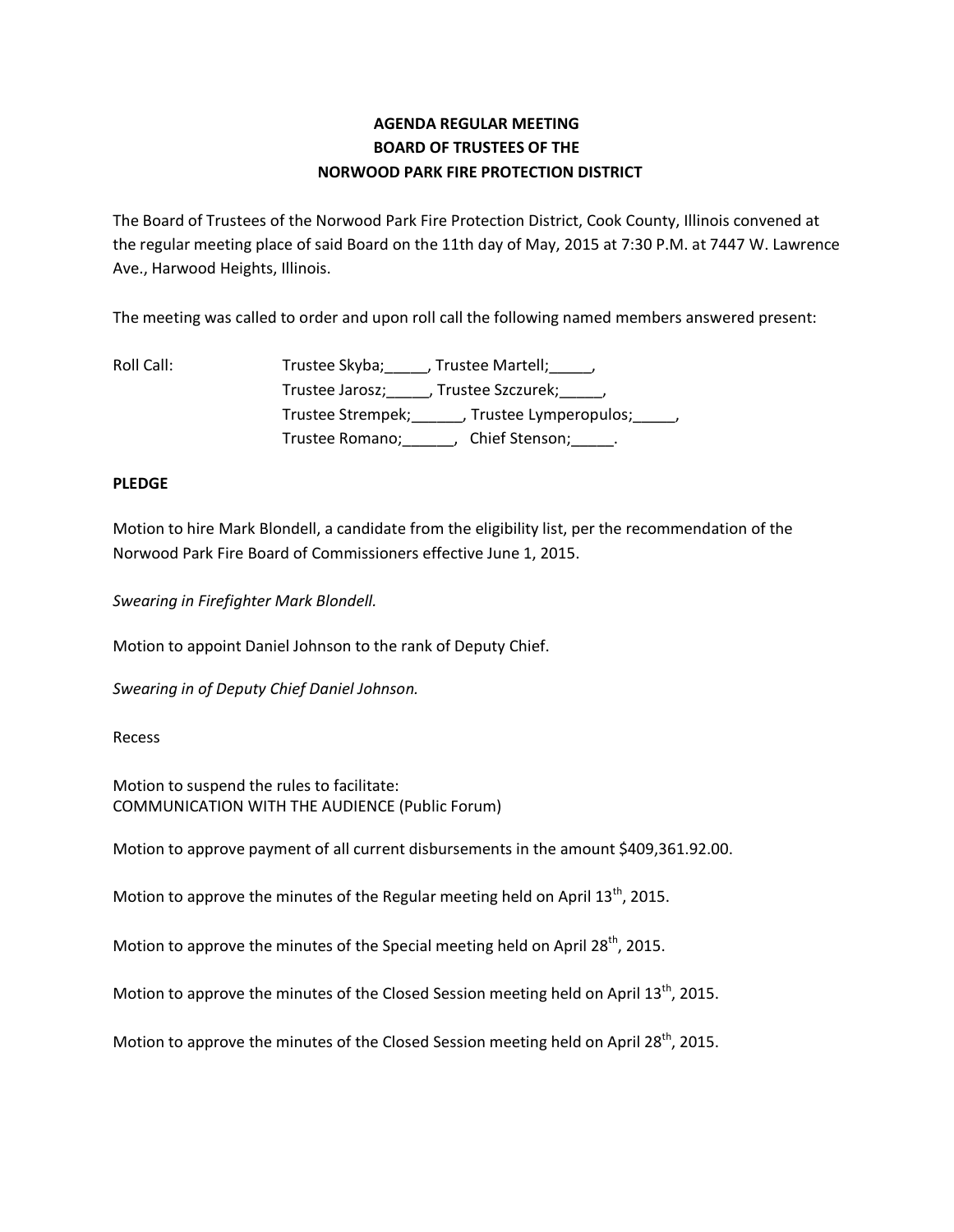# **AGENDA REGULAR MEETING BOARD OF TRUSTEES OF THE NORWOOD PARK FIRE PROTECTION DISTRICT**

The Board of Trustees of the Norwood Park Fire Protection District, Cook County, Illinois convened at the regular meeting place of said Board on the 11th day of May, 2015 at 7:30 P.M. at 7447 W. Lawrence Ave., Harwood Heights, Illinois.

The meeting was called to order and upon roll call the following named members answered present:

Roll Call: Trustee Skyba; \_\_\_\_\_, Trustee Martell; \_\_\_\_\_, Trustee Jarosz; J. Trustee Szczurek; J. Trustee Strempek;\_\_\_\_\_\_, Trustee Lymperopulos;\_\_\_\_\_, Trustee Romano;\_\_\_\_\_\_, Chief Stenson;\_\_\_\_\_.

#### **PLEDGE**

Motion to hire Mark Blondell, a candidate from the eligibility list, per the recommendation of the Norwood Park Fire Board of Commissioners effective June 1, 2015.

*Swearing in Firefighter Mark Blondell.*

Motion to appoint Daniel Johnson to the rank of Deputy Chief.

*Swearing in of Deputy Chief Daniel Johnson.*

Recess

Motion to suspend the rules to facilitate: COMMUNICATION WITH THE AUDIENCE (Public Forum)

Motion to approve payment of all current disbursements in the amount \$409,361.92.00.

Motion to approve the minutes of the Regular meeting held on April 13<sup>th</sup>, 2015.

Motion to approve the minutes of the Special meeting held on April 28<sup>th</sup>, 2015.

Motion to approve the minutes of the Closed Session meeting held on April 13<sup>th</sup>, 2015.

Motion to approve the minutes of the Closed Session meeting held on April 28<sup>th</sup>, 2015.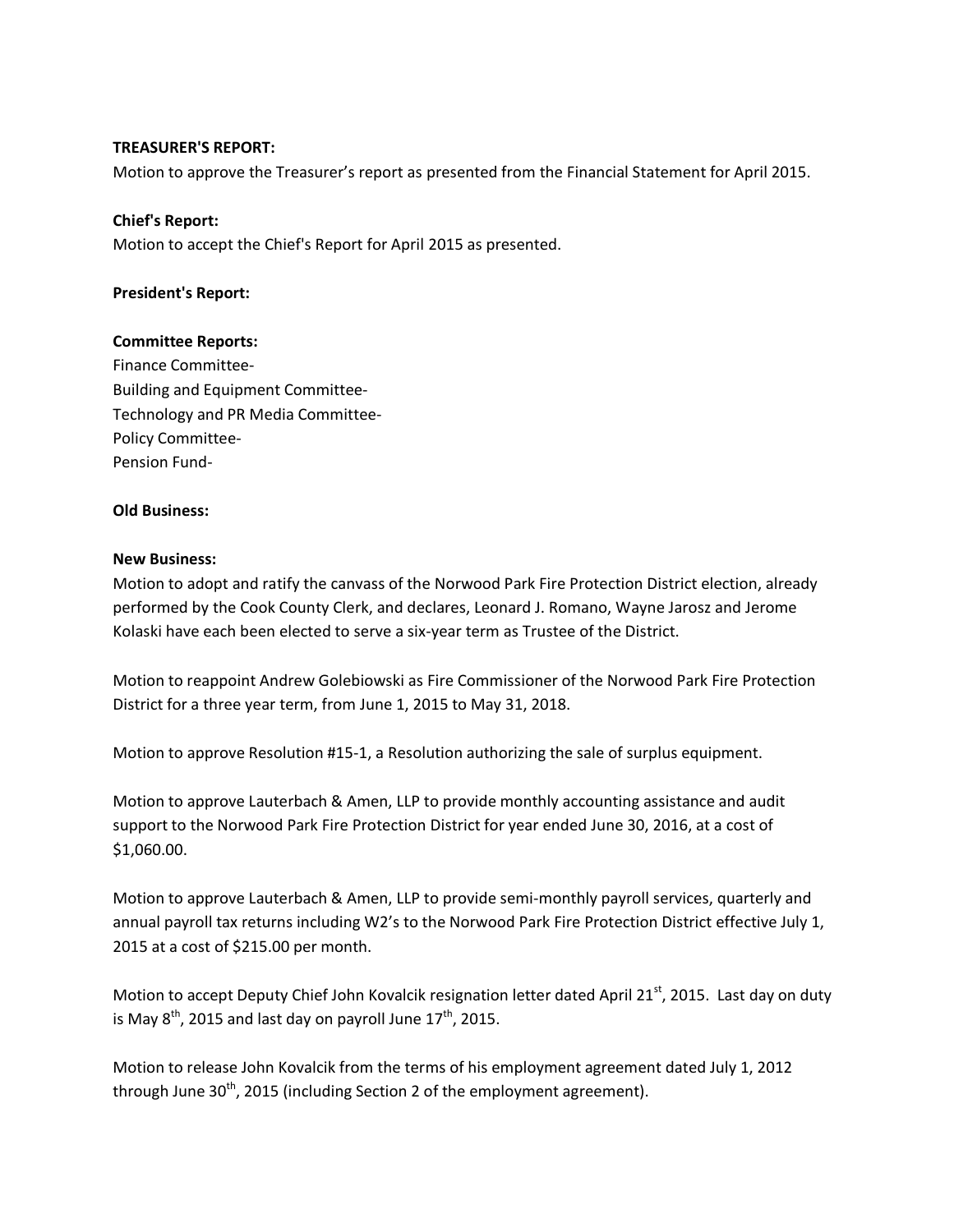#### **TREASURER'S REPORT:**

Motion to approve the Treasurer's report as presented from the Financial Statement for April 2015.

### **Chief's Report:**

Motion to accept the Chief's Report for April 2015 as presented.

#### **President's Report:**

#### **Committee Reports:**

Finance Committee-Building and Equipment Committee-Technology and PR Media Committee-Policy Committee-Pension Fund-

## **Old Business:**

#### **New Business:**

Motion to adopt and ratify the canvass of the Norwood Park Fire Protection District election, already performed by the Cook County Clerk, and declares, Leonard J. Romano, Wayne Jarosz and Jerome Kolaski have each been elected to serve a six-year term as Trustee of the District.

Motion to reappoint Andrew Golebiowski as Fire Commissioner of the Norwood Park Fire Protection District for a three year term, from June 1, 2015 to May 31, 2018.

Motion to approve Resolution #15-1, a Resolution authorizing the sale of surplus equipment.

Motion to approve Lauterbach & Amen, LLP to provide monthly accounting assistance and audit support to the Norwood Park Fire Protection District for year ended June 30, 2016, at a cost of \$1,060.00.

Motion to approve Lauterbach & Amen, LLP to provide semi-monthly payroll services, quarterly and annual payroll tax returns including W2's to the Norwood Park Fire Protection District effective July 1, 2015 at a cost of \$215.00 per month.

Motion to accept Deputy Chief John Kovalcik resignation letter dated April 21<sup>st</sup>, 2015. Last day on duty is May  $8^{th}$ , 2015 and last day on payroll June  $17^{th}$ , 2015.

Motion to release John Kovalcik from the terms of his employment agreement dated July 1, 2012 through June  $30<sup>th</sup>$ , 2015 (including Section 2 of the employment agreement).